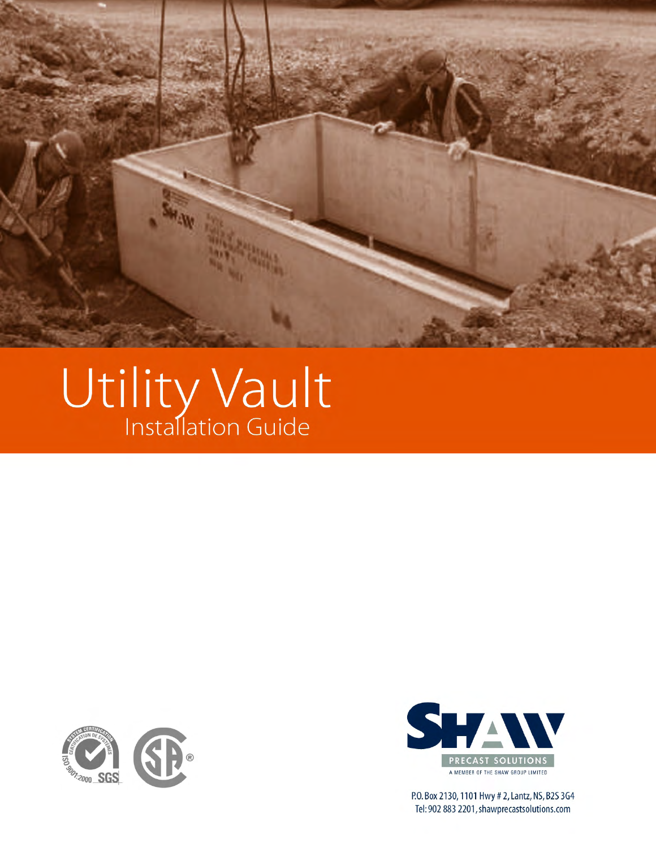

# Utility Vault





P.O. Box 2130, 1101 Hwy # 2, Lantz, NS, B2S 3G4 Tel: 902 883 2201, shawprecastsolutions.com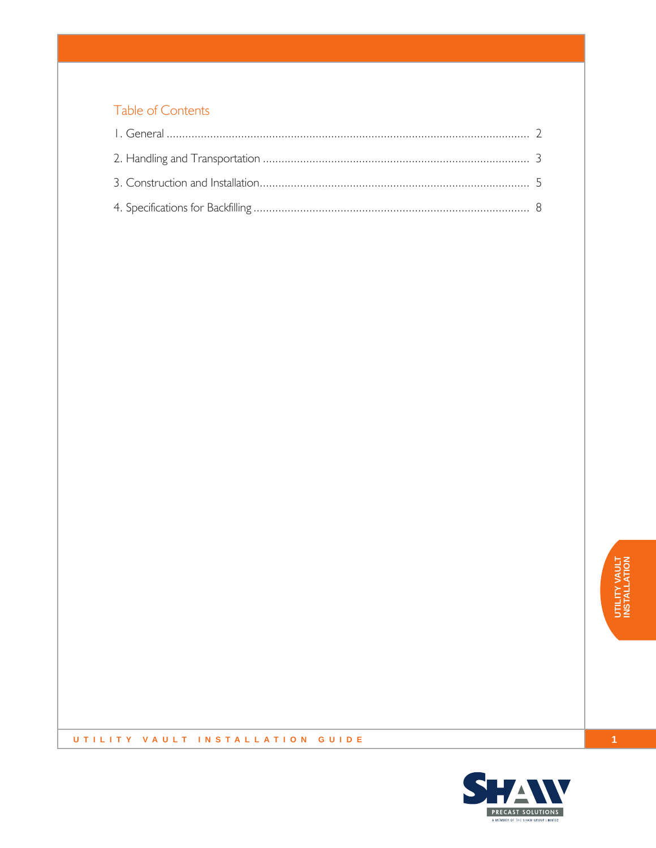#### Table of Contents

#### UTILITY VAULT INSTALLATION GUIDE

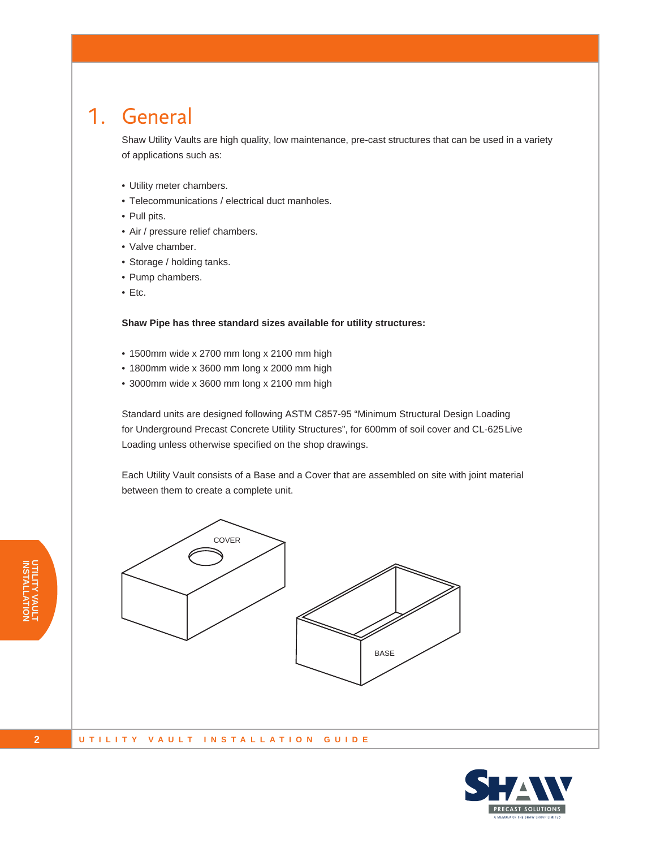#### 1. General

Shaw Utility Vaults are high quality, low maintenance, pre-cast structures that can be used in a variety of applications such as:

- • Utility meter chambers.
- Telecommunications / electrical duct manholes.
- Pull pits.
- • Air / pressure relief chambers.
- Valve chamber.
- • Storage / holding tanks.
- Pump chambers.
- Etc.

**Shaw Pipe has three standard sizes available for utility structures:**

- • 1500mm wide x 2700 mm long x 2100 mm high
- • 1800mm wide x 3600 mm long x 2000 mm high
- • 3000mm wide x 3600 mm long x 2100 mm high

Standard units are designed following ASTM C857-95 "Minimum Structural Design Loading for Underground Precast Concrete Utility Structures", for 600mm of soil cover and CL-625 Live Loading unless otherwise specified on the shop drawings.

Each Utility Vault consists of a Base and a Cover that are assembled on site with joint material between them to create a complete unit.





**INST UTILITY VAULT ALLATION**

**2**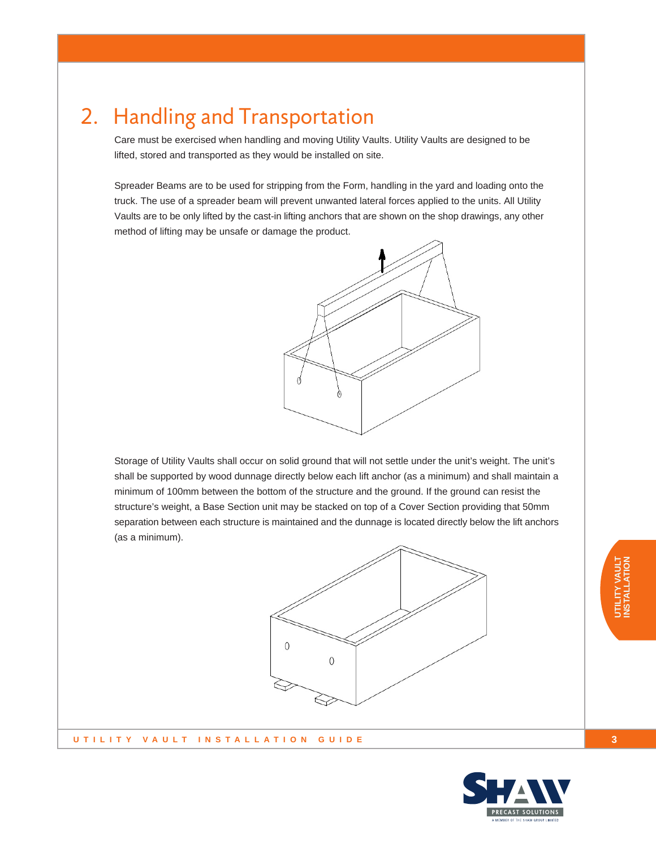## 2. Handling and Transportation

Care must be exercised when handling and moving Utility Vaults. Utility Vaults are designed to be lifted, stored and transported as they would be installed on site.

Spreader Beams are to be used for stripping from the Form, handling in the yard and loading onto the truck. The use of a spreader beam will prevent unwanted lateral forces applied to the units. All Utility Vaults are to be only lifted by the cast-in lifting anchors that are shown on the shop drawings, any other method of lifting may be unsafe or damage the product.



Storage of Utility Vaults shall occur on solid ground that will not settle under the unit's weight. The unit's shall be supported by wood dunnage directly below each lift anchor (as a minimum) and shall maintain a minimum of 100mm between the bottom of the structure and the ground. If the ground can resist the structure's weight, a Base Section unit may be stacked on top of a Cover Section providing that 50mm separation between each structure is maintained and the dunnage is located directly below the lift anchors (as a minimum).



**UTILITY VAULT INSTALLATION GUIDE**



**3**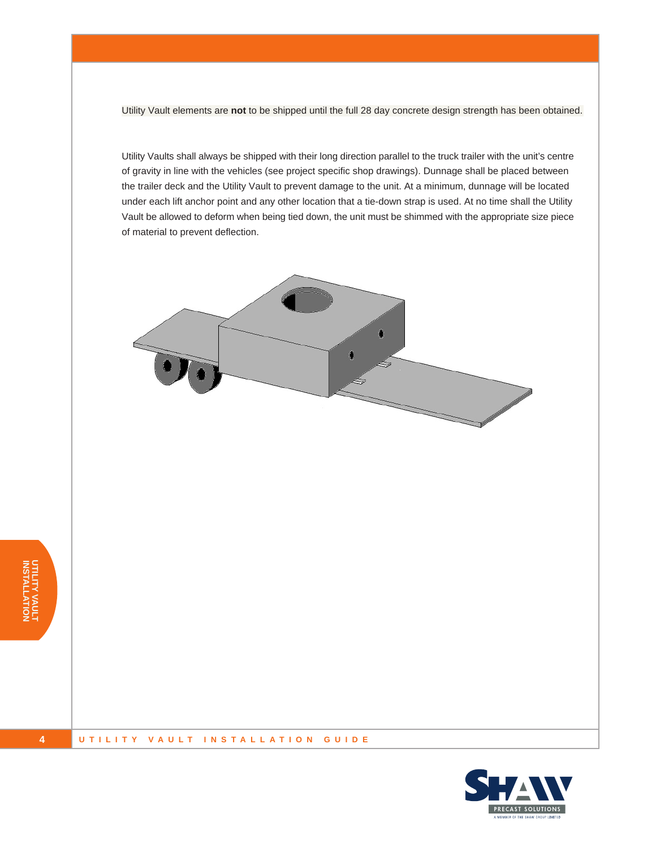Utility Vault elements are **not** to be shipped until the full 28 day concrete design strength has been obtained.

Utility Vaults shall always be shipped with their long direction parallel to the truck trailer with the unit's centre of gravity in line with the vehicles (see project specific shop drawings). Dunnage shall be placed between the trailer deck and the Utility Vault to prevent damage to the unit. At a minimum, dunnage will be located under each lift anchor point and any other location that a tie-down strap is used. At no time shall the Utility Vault be allowed to deform when being tied down, the unit must be shimmed with the appropriate size piece of material to prevent deflection.



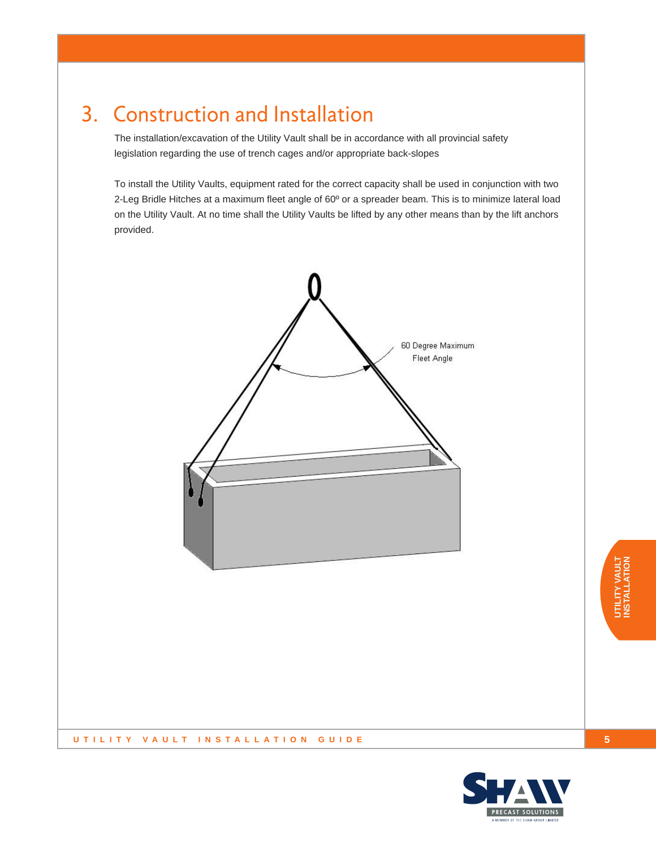## 3. Construction and Installation

The installation/excavation of the Utility Vault shall be in accordance with all provincial safety legislation regarding the use of trench cages and/or appropriate back-slopes

To install the Utility Vaults, equipment rated for the correct capacity shall be used in conjunction with two 2-Leg Bridle Hitches at a maximum fleet angle of 60° or a spreader beam. This is to minimize lateral load on the Utility Vault. At no time shall the Utility Vaults be lifted by any other means than by the lift anchors provided.



**5**



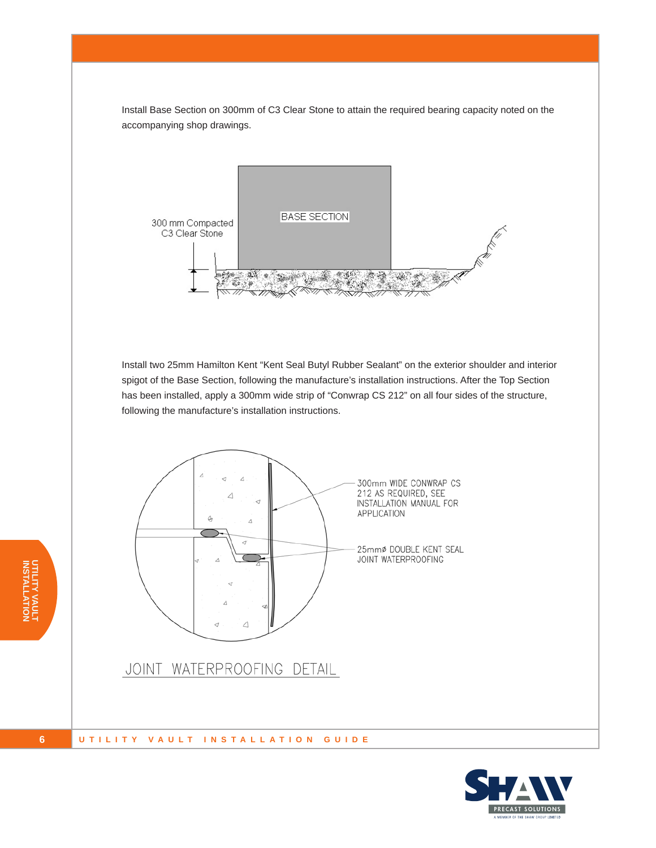Install Base Section on 300mm of C3 Clear Stone to attain the required bearing capacity noted on the accompanying shop drawings.



Install two 25mm Hamilton Kent "Kent Seal Butyl Rubber Sealant" on the exterior shoulder and interior spigot of the Base Section, following the manufacture's installation instructions. After the Top Section has been installed, apply a 300mm wide strip of "Conwrap CS 212" on all four sides of the structure, following the manufacture's installation instructions.





**UTILITY VAULT ALLATION**

**INSTALL**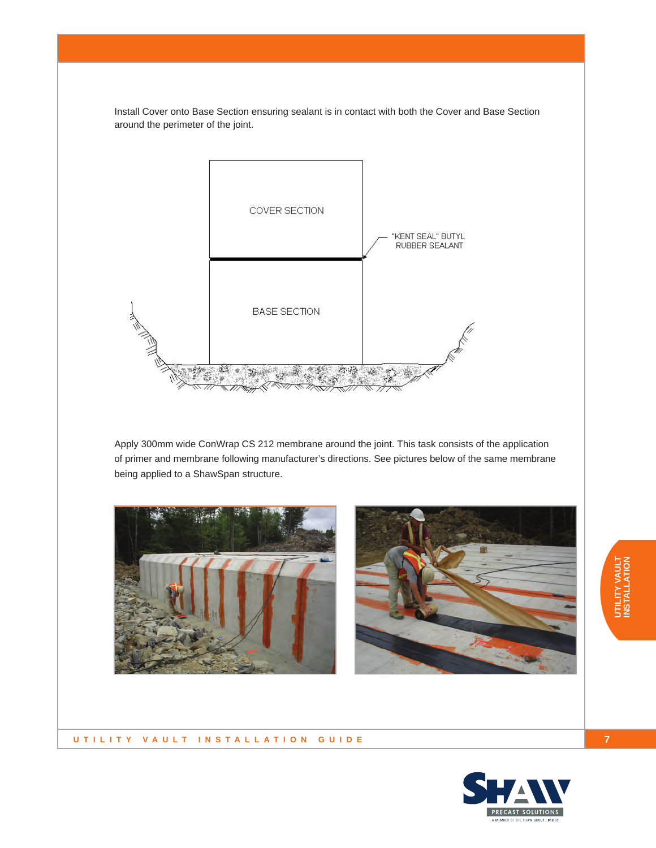Install Cover onto Base Section ensuring sealant is in contact with both the Cover and Base Section around the perimeter of the joint.



Apply 300mm wide ConWrap CS 212 membrane around the joint. This task consists of the application of primer and membrane following manufacturer's directions. See pictures below of the same membrane being applied to a ShawSpan structure.